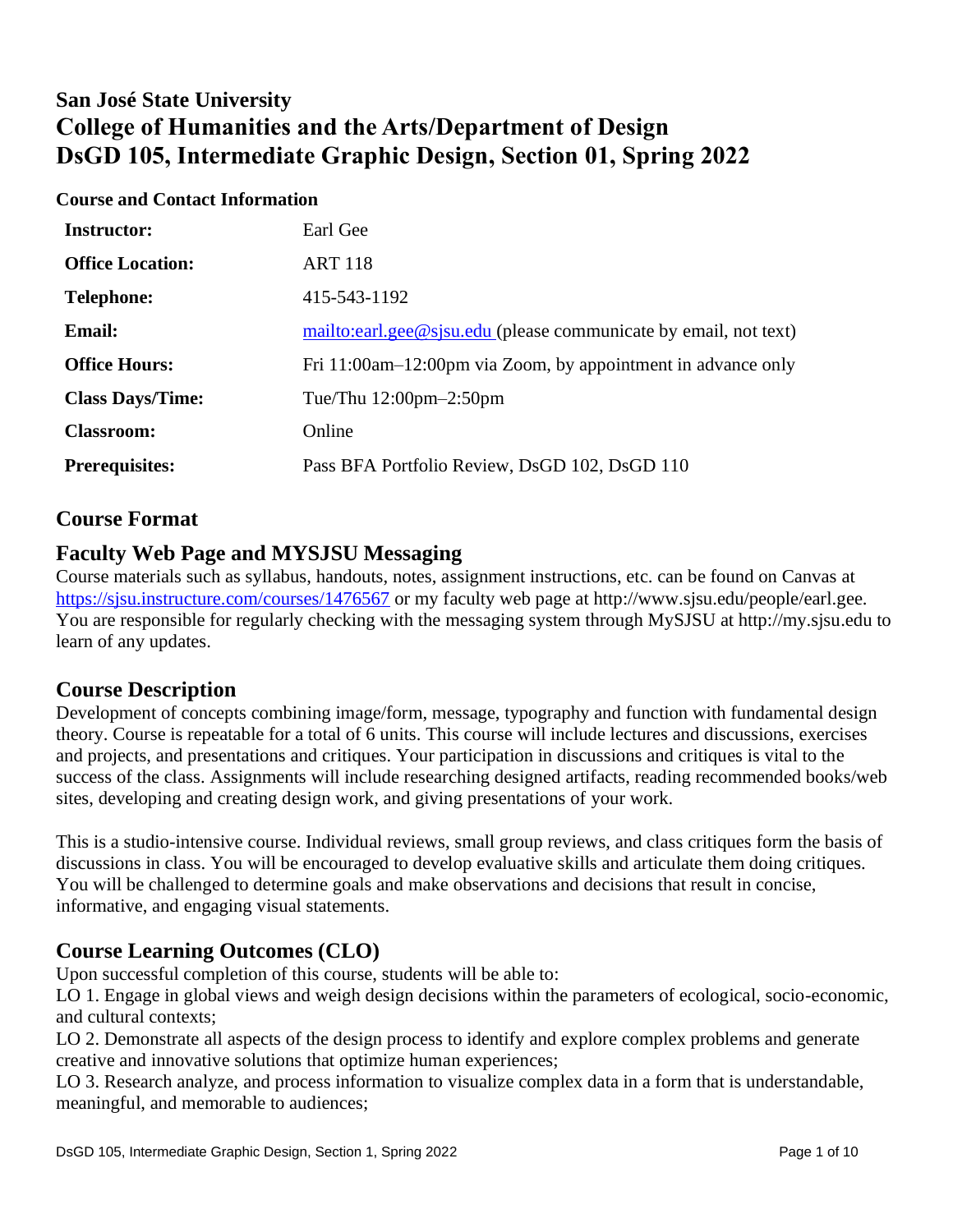# **San José State University College of Humanities and the Arts/Department of Design DsGD 105, Intermediate Graphic Design, Section 01, Spring 2022**

#### **Course and Contact Information**

| <b>Instructor:</b>      | Earl Gee                                                         |
|-------------------------|------------------------------------------------------------------|
| <b>Office Location:</b> | <b>ART 118</b>                                                   |
| <b>Telephone:</b>       | 415-543-1192                                                     |
| <b>Email:</b>           | mailto:earl.gee@sjsu.edu (please communicate by email, not text) |
| <b>Office Hours:</b>    | Fri 11:00am–12:00pm via Zoom, by appointment in advance only     |
| <b>Class Days/Time:</b> | Tue/Thu $12:00 \text{pm} - 2:50 \text{pm}$                       |
| <b>Classroom:</b>       | Online                                                           |
| <b>Prerequisites:</b>   | Pass BFA Portfolio Review, DsGD 102, DsGD 110                    |

### **Course Format**

### **Faculty Web Page and MYSJSU Messaging**

Course materials such as syllabus, handouts, notes, assignment instructions, etc. can be found on Canvas at <https://sjsu.instructure.com/courses/1476567> or my faculty web page at [http://www.sjsu.edu/people/earl.gee.](http://www.sjsu.edu/people/earl.gee)  You are responsible for regularly checking with the messaging system through MySJSU at [http://my.sjsu.edu to](http://my.sjsu.edu)  learn of any updates.

### **Course Description**

Development of concepts combining image/form, message, typography and function with fundamental design theory. Course is repeatable for a total of 6 units. This course will include lectures and discussions, exercises and projects, and presentations and critiques. Your participation in discussions and critiques is vital to the success of the class. Assignments will include researching designed artifacts, reading recommended books/web sites, developing and creating design work, and giving presentations of your work.

This is a studio-intensive course. Individual reviews, small group reviews, and class critiques form the basis of discussions in class. You will be encouraged to develop evaluative skills and articulate them doing critiques. You will be challenged to determine goals and make observations and decisions that result in concise, informative, and engaging visual statements.

### **Course Learning Outcomes (CLO)**

Upon successful completion of this course, students will be able to:

LO 1. Engage in global views and weigh design decisions within the parameters of ecological, socio-economic, and cultural contexts;

LO 2. Demonstrate all aspects of the design process to identify and explore complex problems and generate creative and innovative solutions that optimize human experiences;

LO 3. Research analyze, and process information to visualize complex data in a form that is understandable, meaningful, and memorable to audiences;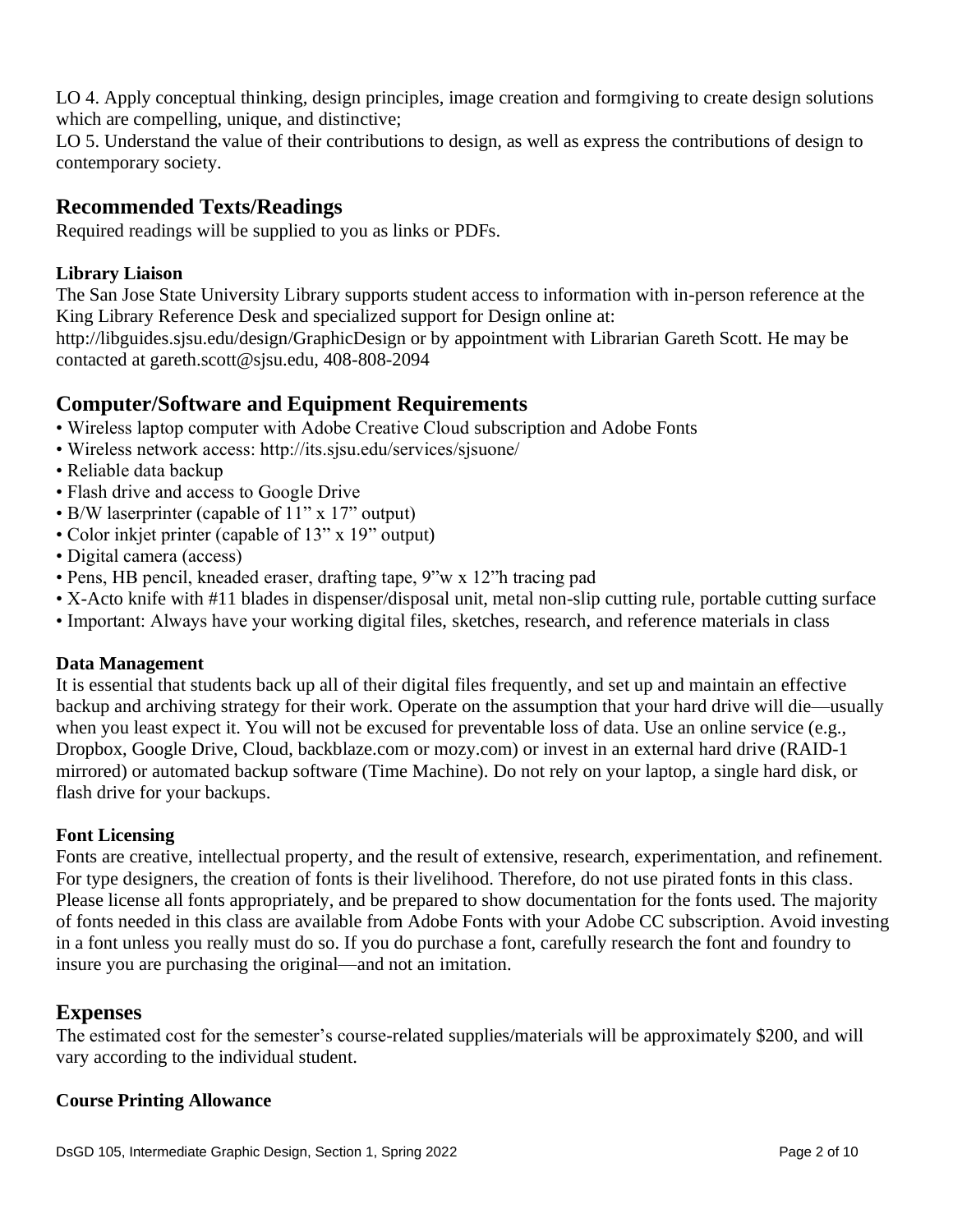LO 4. Apply conceptual thinking, design principles, image creation and formgiving to create design solutions which are compelling, unique, and distinctive;

LO 5. Understand the value of their contributions to design, as well as express the contributions of design to contemporary society.

### **Recommended Texts/Readings**

Required readings will be supplied to you as links or PDFs.

### **Library Liaison**

The San Jose State University Library supports student access to information with in-person reference at the King Library Reference Desk and specialized support for Design online at:

[http://libguides.sjsu.edu/design/GraphicDesign or](http://libguides.sjsu.edu/design/GraphicDesign) by appointment with Librarian Gareth Scott. He may be contacted at [gareth.scott@sjsu.edu, 40](mailto:gareth.scott@sjsu.edu)8-808-2094

## **Computer/Software and Equipment Requirements**

- Wireless laptop computer with Adobe Creative Cloud subscription and Adobe Fonts
- Wireless network access:<http://its.sjsu.edu/services/sjsuone/>
- Reliable data backup
- Flash drive and access to Google Drive
- B/W laserprinter (capable of 11" x 17" output)
- Color inkjet printer (capable of 13" x 19" output)
- Digital camera (access)
- Pens, HB pencil, kneaded eraser, drafting tape, 9"w x 12"h tracing pad
- X-Acto knife with #11 blades in dispenser/disposal unit, metal non-slip cutting rule, portable cutting surface
- Important: Always have your working digital files, sketches, research, and reference materials in class

#### **Data Management**

It is essential that students back up all of their digital files frequently, and set up and maintain an effective backup and archiving strategy for their work. Operate on the assumption that your hard drive will die—usually when you least expect it. You will not be excused for preventable loss of data. Use an online service (e.g., Dropbox, Google Drive, Cloud, backblaze.com or mozy.com) or invest in an external hard drive (RAID-1 mirrored) or automated backup software (Time Machine). Do not rely on your laptop, a single hard disk, or flash drive for your backups.

#### **Font Licensing**

Fonts are creative, intellectual property, and the result of extensive, research, experimentation, and refinement. For type designers, the creation of fonts is their livelihood. Therefore, do not use pirated fonts in this class. Please license all fonts appropriately, and be prepared to show documentation for the fonts used. The majority of fonts needed in this class are available from Adobe Fonts with your Adobe CC subscription. Avoid investing in a font unless you really must do so. If you do purchase a font, carefully research the font and foundry to insure you are purchasing the original—and not an imitation.

### **Expenses**

The estimated cost for the semester's course-related supplies/materials will be approximately \$200, and will vary according to the individual student.

#### **Course Printing Allowance**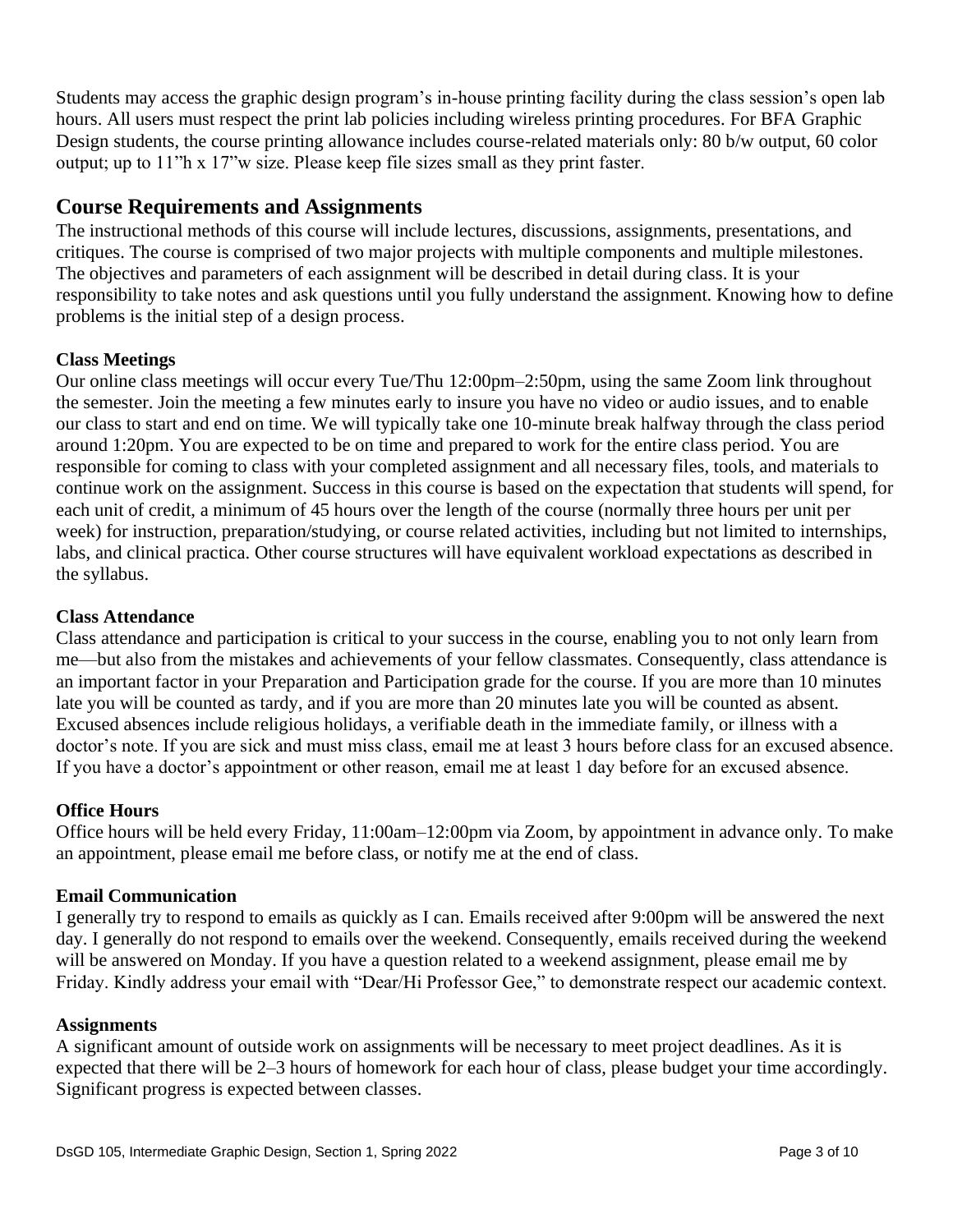Students may access the graphic design program's in-house printing facility during the class session's open lab hours. All users must respect the print lab policies including wireless printing procedures. For BFA Graphic Design students, the course printing allowance includes course-related materials only: 80 b/w output, 60 color output; up to 11"h x 17"w size. Please keep file sizes small as they print faster.

### **Course Requirements and Assignments**

The instructional methods of this course will include lectures, discussions, assignments, presentations, and critiques. The course is comprised of two major projects with multiple components and multiple milestones. The objectives and parameters of each assignment will be described in detail during class. It is your responsibility to take notes and ask questions until you fully understand the assignment. Knowing how to define problems is the initial step of a design process.

#### **Class Meetings**

Our online class meetings will occur every Tue/Thu 12:00pm–2:50pm, using the same Zoom link throughout the semester. Join the meeting a few minutes early to insure you have no video or audio issues, and to enable our class to start and end on time. We will typically take one 10-minute break halfway through the class period around 1:20pm. You are expected to be on time and prepared to work for the entire class period. You are responsible for coming to class with your completed assignment and all necessary files, tools, and materials to continue work on the assignment. Success in this course is based on the expectation that students will spend, for each unit of credit, a minimum of 45 hours over the length of the course (normally three hours per unit per week) for instruction, preparation/studying, or course related activities, including but not limited to internships, labs, and clinical practica. Other course structures will have equivalent workload expectations as described in the syllabus.

#### **Class Attendance**

Class attendance and participation is critical to your success in the course, enabling you to not only learn from me—but also from the mistakes and achievements of your fellow classmates. Consequently, class attendance is an important factor in your Preparation and Participation grade for the course. If you are more than 10 minutes late you will be counted as tardy, and if you are more than 20 minutes late you will be counted as absent. Excused absences include religious holidays, a verifiable death in the immediate family, or illness with a doctor's note. If you are sick and must miss class, email me at least 3 hours before class for an excused absence. If you have a doctor's appointment or other reason, email me at least 1 day before for an excused absence.

#### **Office Hours**

Office hours will be held every Friday, 11:00am–12:00pm via Zoom, by appointment in advance only. To make an appointment, please email me before class, or notify me at the end of class.

#### **Email Communication**

I generally try to respond to emails as quickly as I can. Emails received after 9:00pm will be answered the next day. I generally do not respond to emails over the weekend. Consequently, emails received during the weekend will be answered on Monday. If you have a question related to a weekend assignment, please email me by Friday. Kindly address your email with "Dear/Hi Professor Gee," to demonstrate respect our academic context.

#### **Assignments**

A significant amount of outside work on assignments will be necessary to meet project deadlines. As it is expected that there will be 2–3 hours of homework for each hour of class, please budget your time accordingly. Significant progress is expected between classes.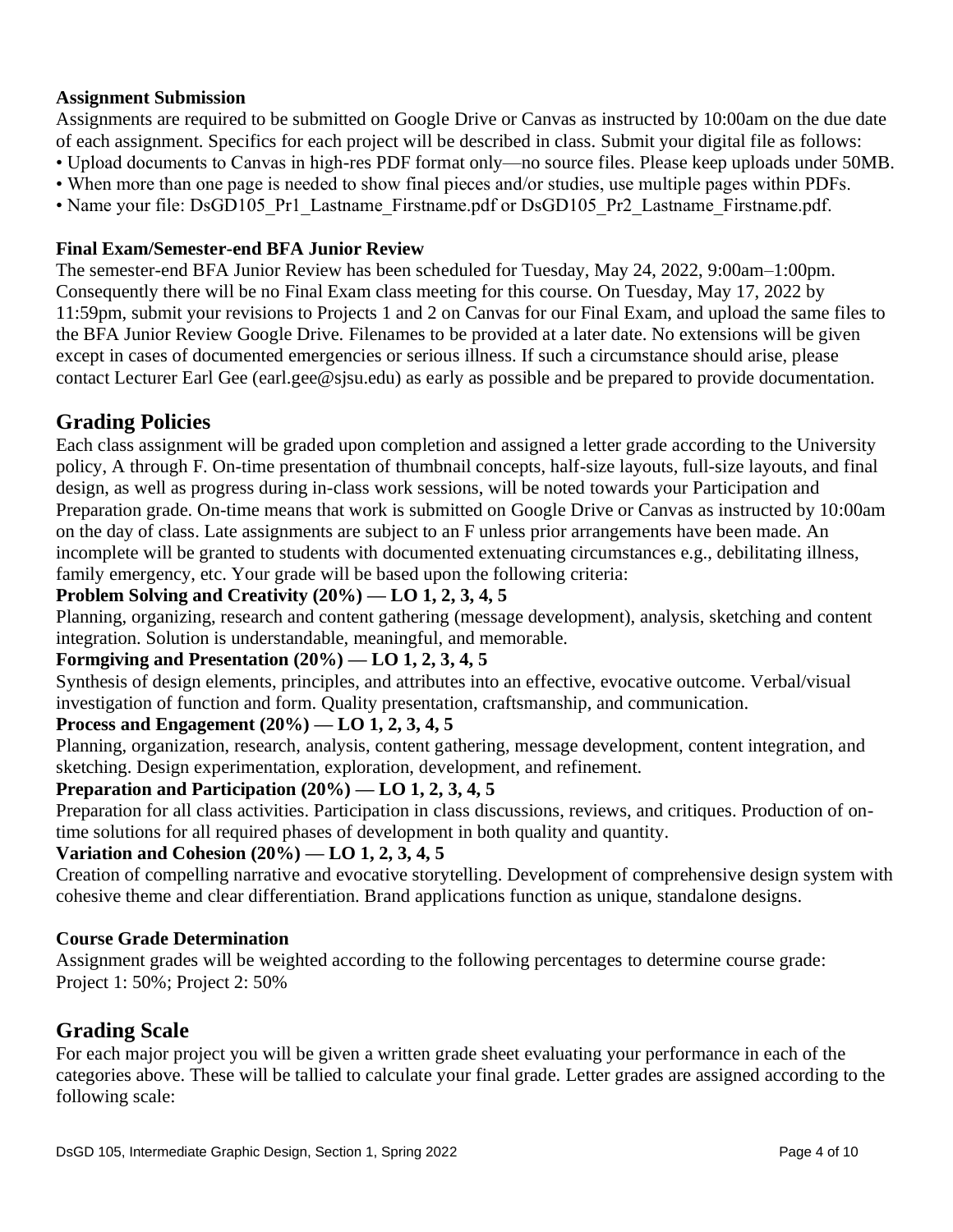#### **Assignment Submission**

Assignments are required to be submitted on Google Drive or Canvas as instructed by 10:00am on the due date of each assignment. Specifics for each project will be described in class. Submit your digital file as follows:

- Upload documents to Canvas in high-res PDF format only—no source files. Please keep uploads under 50MB.
- When more than one page is needed to show final pieces and/or studies, use multiple pages within PDFs.
- Name your file: DsGD105 Pr1 Lastname Firstname.pdf or DsGD105 Pr2 Lastname Firstname.pdf.

### **Final Exam/Semester-end BFA Junior Review**

The semester-end BFA Junior Review has been scheduled for Tuesday, May 24, 2022, 9:00am–1:00pm. Consequently there will be no Final Exam class meeting for this course. On Tuesday, May 17, 2022 by 11:59pm, submit your revisions to Projects 1 and 2 on Canvas for our Final Exam, and upload the same files to the BFA Junior Review Google Drive. Filenames to be provided at a later date. No extensions will be given except in cases of documented emergencies or serious illness. If such a circumstance should arise, please contact Lecturer Earl Gee [\(earl.gee@sjsu.edu\) as](mailto:earl.gee@sjsu.edu) early as possible and be prepared to provide documentation.

## **Grading Policies**

Each class assignment will be graded upon completion and assigned a letter grade according to the University policy, A through F. On-time presentation of thumbnail concepts, half-size layouts, full-size layouts, and final design, as well as progress during in-class work sessions, will be noted towards your Participation and Preparation grade. On-time means that work is submitted on Google Drive or Canvas as instructed by 10:00am on the day of class. Late assignments are subject to an F unless prior arrangements have been made. An incomplete will be granted to students with documented extenuating circumstances e.g., debilitating illness, family emergency, etc. Your grade will be based upon the following criteria:

### **Problem Solving and Creativity (20%) — LO 1, 2, 3, 4, 5**

Planning, organizing, research and content gathering (message development), analysis, sketching and content integration. Solution is understandable, meaningful, and memorable.

### **Formgiving and Presentation (20%) — LO 1, 2, 3, 4, 5**

Synthesis of design elements, principles, and attributes into an effective, evocative outcome. Verbal/visual investigation of function and form. Quality presentation, craftsmanship, and communication.

### **Process and Engagement (20%) — LO 1, 2, 3, 4, 5**

Planning, organization, research, analysis, content gathering, message development, content integration, and sketching. Design experimentation, exploration, development, and refinement.

### **Preparation and Participation (20%) — LO 1, 2, 3, 4, 5**

Preparation for all class activities. Participation in class discussions, reviews, and critiques. Production of ontime solutions for all required phases of development in both quality and quantity.

### **Variation and Cohesion (20%) — LO 1, 2, 3, 4, 5**

Creation of compelling narrative and evocative storytelling. Development of comprehensive design system with cohesive theme and clear differentiation. Brand applications function as unique, standalone designs.

#### **Course Grade Determination**

Assignment grades will be weighted according to the following percentages to determine course grade: Project 1: 50%; Project 2: 50%

# **Grading Scale**

For each major project you will be given a written grade sheet evaluating your performance in each of the categories above. These will be tallied to calculate your final grade. Letter grades are assigned according to the following scale: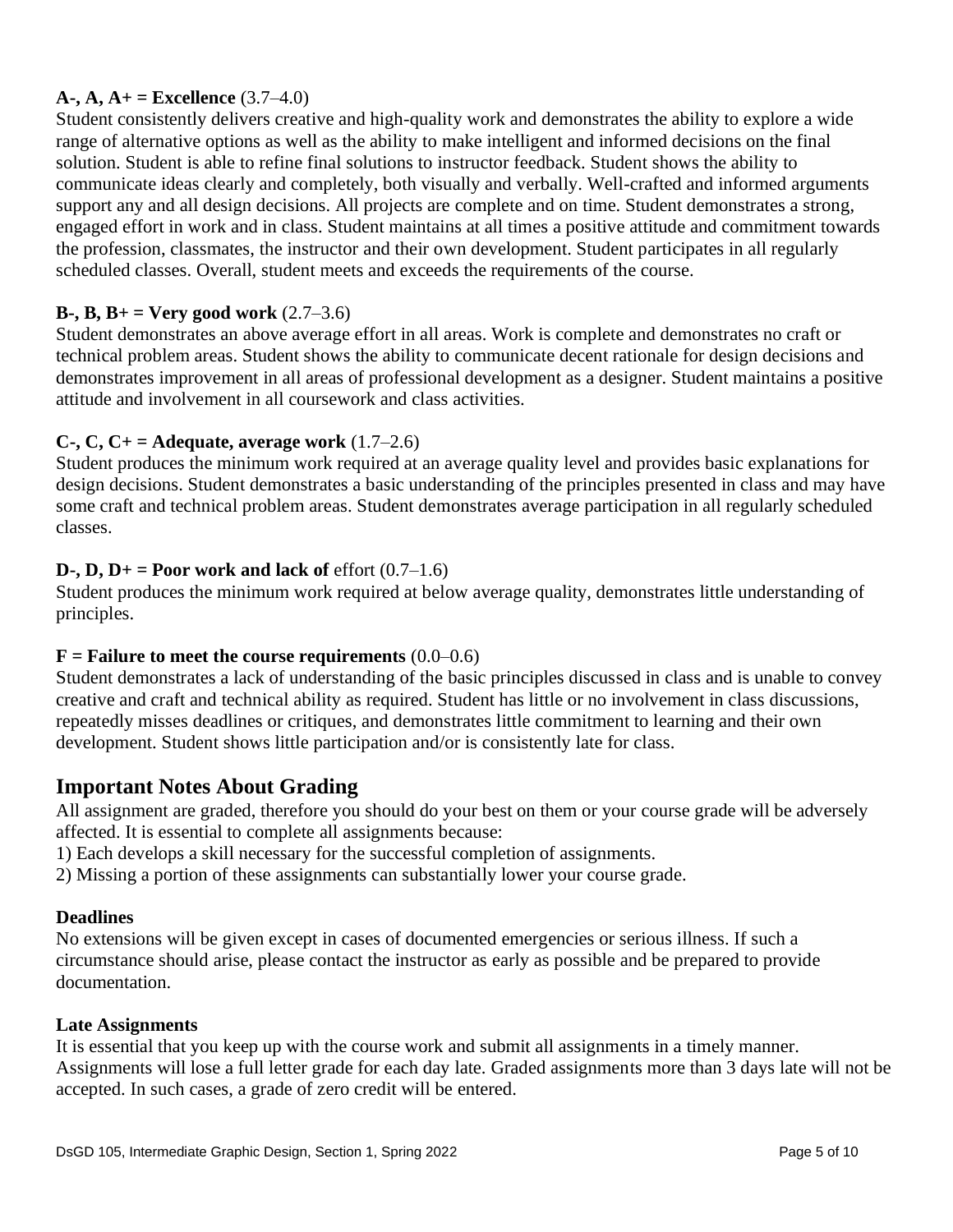### **A-, A, A+ = Excellence**  $(3.7-4.0)$

Student consistently delivers creative and high-quality work and demonstrates the ability to explore a wide range of alternative options as well as the ability to make intelligent and informed decisions on the final solution. Student is able to refine final solutions to instructor feedback. Student shows the ability to communicate ideas clearly and completely, both visually and verbally. Well-crafted and informed arguments support any and all design decisions. All projects are complete and on time. Student demonstrates a strong, engaged effort in work and in class. Student maintains at all times a positive attitude and commitment towards the profession, classmates, the instructor and their own development. Student participates in all regularly scheduled classes. Overall, student meets and exceeds the requirements of the course.

#### **B-, B, B+ = Very good work**  $(2.7-3.6)$

Student demonstrates an above average effort in all areas. Work is complete and demonstrates no craft or technical problem areas. Student shows the ability to communicate decent rationale for design decisions and demonstrates improvement in all areas of professional development as a designer. Student maintains a positive attitude and involvement in all coursework and class activities.

#### **C-, C, C+ = Adequate, average work** (1.7–2.6)

Student produces the minimum work required at an average quality level and provides basic explanations for design decisions. Student demonstrates a basic understanding of the principles presented in class and may have some craft and technical problem areas. Student demonstrates average participation in all regularly scheduled classes.

#### **D-, D, D+ = Poor work and lack of** effort  $(0.7-1.6)$

Student produces the minimum work required at below average quality, demonstrates little understanding of principles.

#### **ailure to meet the course requirements (0.0–0.6)**

Student demonstrates a lack of understanding of the basic principles discussed in class and is unable to convey creative and craft and technical ability as required. Student has little or no involvement in class discussions, repeatedly misses deadlines or critiques, and demonstrates little commitment to learning and their own development. Student shows little participation and/or is consistently late for class.

### **Important Notes About Grading**

All assignment are graded, therefore you should do your best on them or your course grade will be adversely affected. It is essential to complete all assignments because:

1) Each develops a skill necessary for the successful completion of assignments.

2) Missing a portion of these assignments can substantially lower your course grade.

#### **Deadlines**

No extensions will be given except in cases of documented emergencies or serious illness. If such a circumstance should arise, please contact the instructor as early as possible and be prepared to provide documentation.

#### **Late Assignments**

It is essential that you keep up with the course work and submit all assignments in a timely manner. Assignments will lose a full letter grade for each day late. Graded assignments more than 3 days late will not be accepted. In such cases, a grade of zero credit will be entered.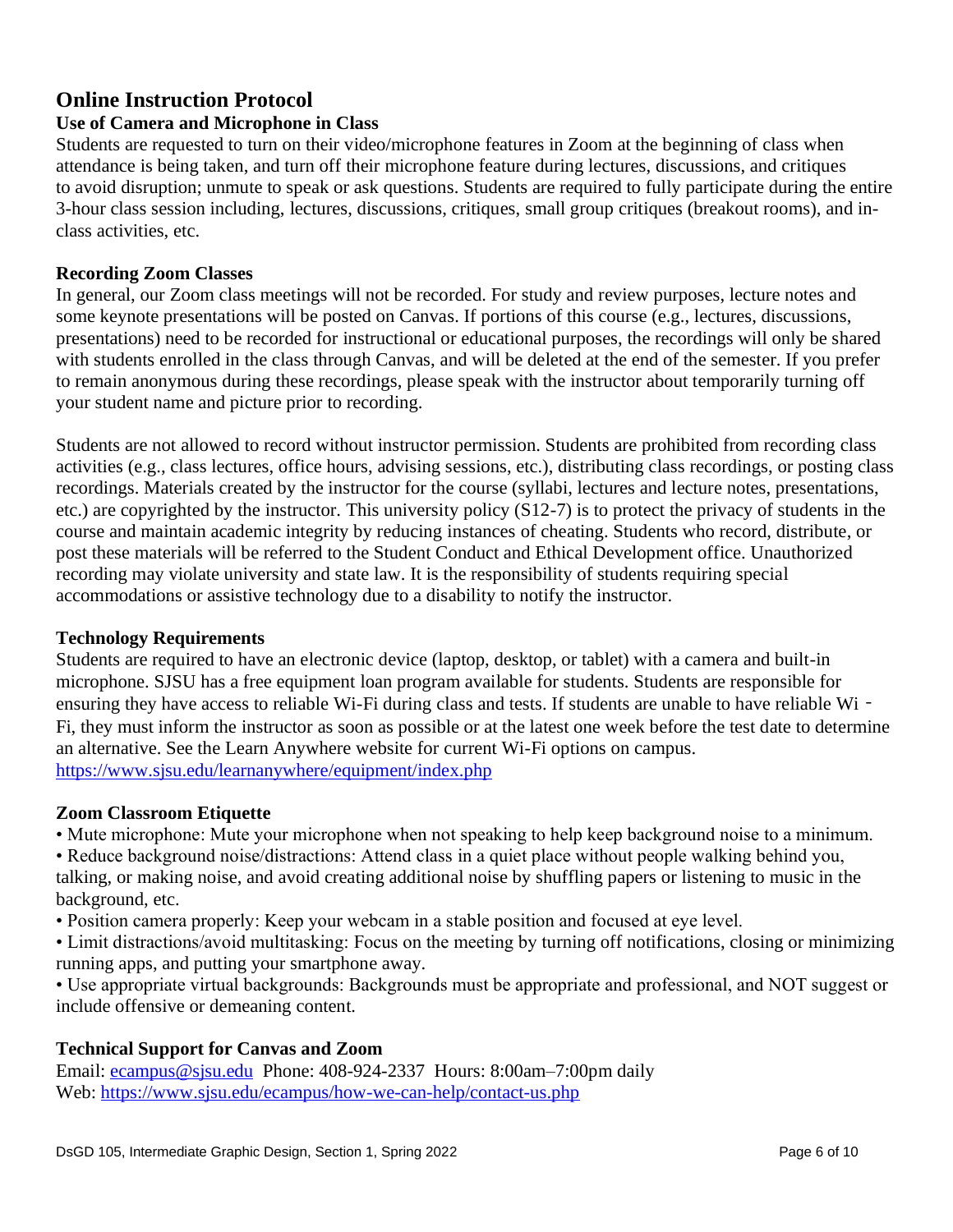# **Online Instruction Protocol**

### **Use of Camera and Microphone in Class**

Students are requested to turn on their video/microphone features in Zoom at the beginning of class when attendance is being taken, and turn off their microphone feature during lectures, discussions, and critiques to avoid disruption; unmute to speak or ask questions. Students are required to fully participate during the entire 3-hour class session including, lectures, discussions, critiques, small group critiques (breakout rooms), and inclass activities, etc.

#### **Recording Zoom Classes**

In general, our Zoom class meetings will not be recorded. For study and review purposes, lecture notes and some keynote presentations will be posted on Canvas. If portions of this course (e.g., lectures, discussions, presentations) need to be recorded for instructional or educational purposes, the recordings will only be shared with students enrolled in the class through Canvas, and will be deleted at the end of the semester. If you prefer to remain anonymous during these recordings, please speak with the instructor about temporarily turning off your student name and picture prior to recording.

Students are not allowed to record without instructor permission. Students are prohibited from recording class activities (e.g., class lectures, office hours, advising sessions, etc.), distributing class recordings, or posting class recordings. Materials created by the instructor for the course (syllabi, lectures and lecture notes, presentations, etc.) are copyrighted by the instructor. This university policy (S12-7) is to protect the privacy of students in the course and maintain academic integrity by reducing instances of cheating. Students who record, distribute, or post these materials will be referred to the Student Conduct and Ethical Development office. Unauthorized recording may violate university and state law. It is the responsibility of students requiring special accommodations or assistive technology due to a disability to notify the instructor.

#### **Technology Requirements**

Students are required to have an electronic device (laptop, desktop, or tablet) with a camera and built-in microphone. SJSU has a free equipment loan program available for students. Students are responsible for ensuring they have access to reliable Wi-Fi during class and tests. If students are unable to have reliable Wi-Fi, they must inform the instructor as soon as possible or at the latest one week before the test date to determine an alternative. See the Learn Anywhere website for current Wi-Fi options on campus. <https://www.sjsu.edu/learnanywhere/equipment/index.php>

#### **Zoom Classroom Etiquette**

• Mute microphone: Mute your microphone when not speaking to help keep background noise to a minimum.

• Reduce background noise/distractions: Attend class in a quiet place without people walking behind you, talking, or making noise, and avoid creating additional noise by shuffling papers or listening to music in the background, etc.

- Position camera properly: Keep your webcam in a stable position and focused at eye level.
- Limit distractions/avoid multitasking: Focus on the meeting by turning off notifications, closing or minimizing running apps, and putting your smartphone away.

• Use appropriate virtual backgrounds: Backgrounds must be appropriate and professional, and NOT suggest or include offensive or demeaning content.

### **Technical Support for Canvas and Zoom**

Email: [ecampus@sjsu.edu](mailto:ecampus@sjsu.edu) Phone: 408-924-2337 Hours: 8:00am–7:00pm daily Web:<https://www.sjsu.edu/ecampus/how-we-can-help/contact-us.php>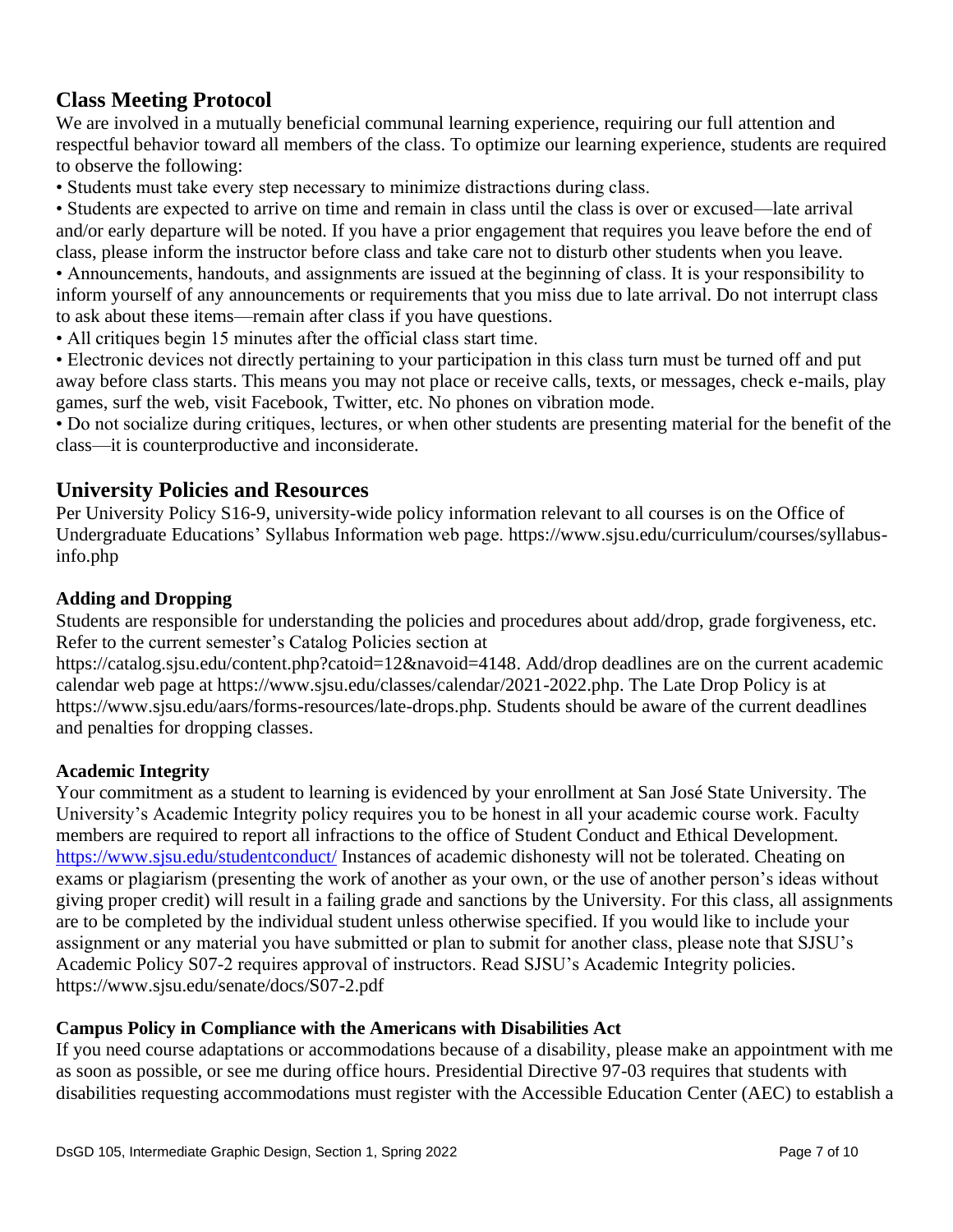# **Class Meeting Protocol**

We are involved in a mutually beneficial communal learning experience, requiring our full attention and respectful behavior toward all members of the class. To optimize our learning experience, students are required to observe the following:

• Students must take every step necessary to minimize distractions during class.

• Students are expected to arrive on time and remain in class until the class is over or excused—late arrival and/or early departure will be noted. If you have a prior engagement that requires you leave before the end of class, please inform the instructor before class and take care not to disturb other students when you leave.

• Announcements, handouts, and assignments are issued at the beginning of class. It is your responsibility to inform yourself of any announcements or requirements that you miss due to late arrival. Do not interrupt class to ask about these items—remain after class if you have questions.

• All critiques begin 15 minutes after the official class start time.

• Electronic devices not directly pertaining to your participation in this class turn must be turned off and put away before class starts. This means you may not place or receive calls, texts, or messages, check e-mails, play games, surf the web, visit Facebook, Twitter, etc. No phones on vibration mode.

• Do not socialize during critiques, lectures, or when other students are presenting material for the benefit of the class—it is counterproductive and inconsiderate.

### **University Policies and Resources**

Per University Policy S16-9, university-wide policy information relevant to all courses is on the Office of Undergraduate Educations' Syllabus Information web page. [https://www.sjsu.edu/curriculum/courses/syllabus](https://www.sjsu.edu/curriculum/courses/syllabus-info.php)[info.php](https://www.sjsu.edu/curriculum/courses/syllabus-info.php)

#### **Adding and Dropping**

Students are responsible for understanding the policies and procedures about add/drop, grade forgiveness, etc. Refer to the current semester's Catalog Policies section at

[https://catalog.sjsu.edu/content.php?catoid=12&navoid=4148. Ad](https://catalog.sjsu.edu/content.php?catoid=12&navoid=4148)d/drop deadlines are on the current academic calendar web page at [https://www.sjsu.edu/classes/calendar/2021-2022.php. Th](https://www.sjsu.edu/classes/calendar/2021-2022.php)e Late Drop Policy is at [https://www.sjsu.edu/aars/forms-resources/late-drops.php. St](https://www.sjsu.edu/aars/forms-resources/late-drops.php)udents should be aware of the current deadlines and penalties for dropping classes.

#### **Academic Integrity**

Your commitment as a student to learning is evidenced by your enrollment at San José State University. The University's Academic Integrity policy requires you to be honest in all your academic course work. Faculty members are required to report all infractions to the office of Student Conduct and Ethical Development. <https://www.sjsu.edu/studentconduct/> Instances of academic dishonesty will not be tolerated. Cheating on exams or plagiarism (presenting the work of another as your own, or the use of another person's ideas without giving proper credit) will result in a failing grade and sanctions by the University. For this class, all assignments are to be completed by the individual student unless otherwise specified. If you would like to include your assignment or any material you have submitted or plan to submit for another class, please note that SJSU's Academic Policy S07-2 requires approval of instructors. Read SJSU's Academic Integrity policies. <https://www.sjsu.edu/senate/docs/S07-2.pdf>

#### **Campus Policy in Compliance with the Americans with Disabilities Act**

If you need course adaptations or accommodations because of a disability, please make an appointment with me as soon as possible, or see me during office hours. Presidential Directive 97-03 requires that students with disabilities requesting accommodations must register with the Accessible Education Center (AEC) to establish a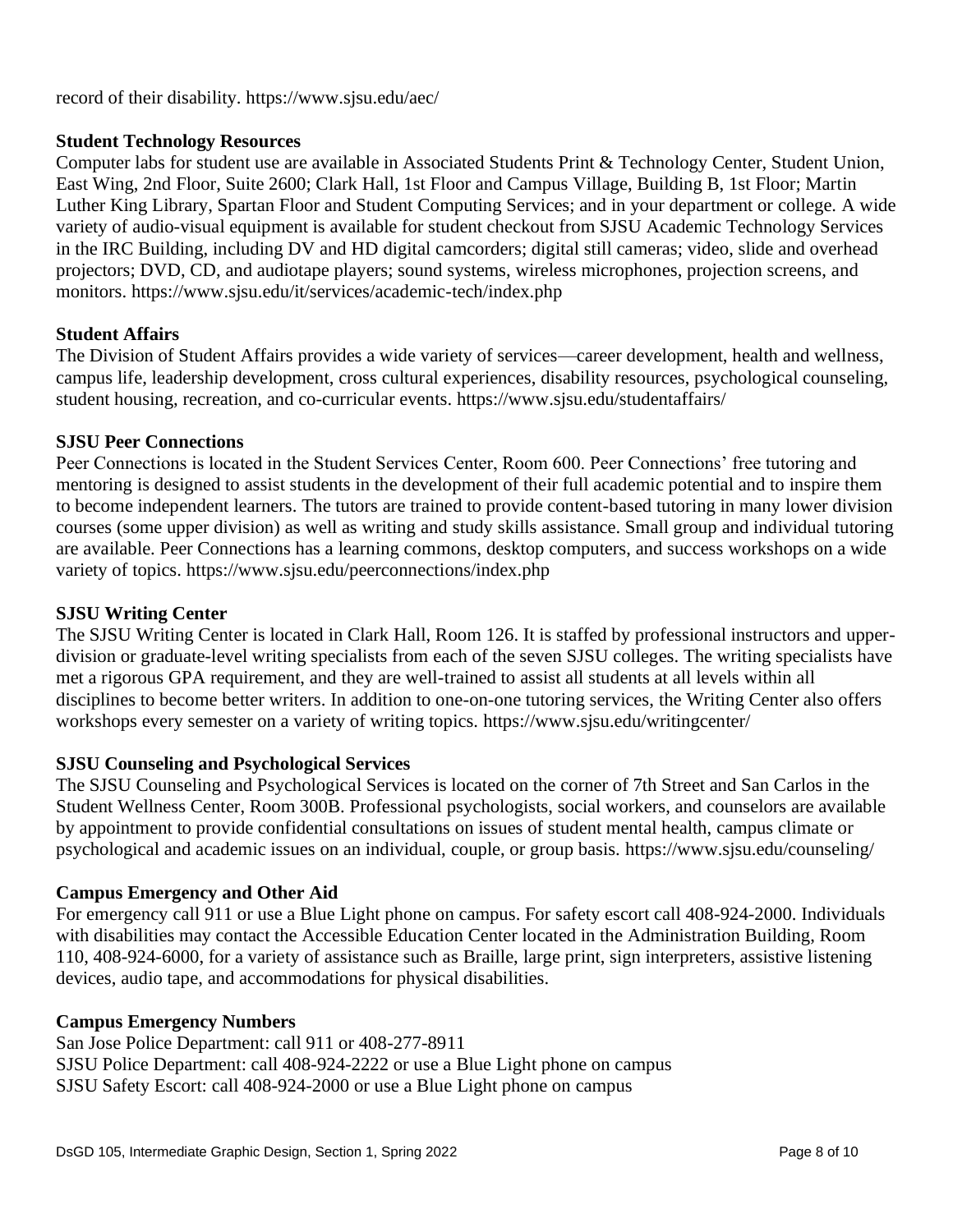record of their disability. <https://www.sjsu.edu/aec/>

#### **Student Technology Resources**

Computer labs for student use are available in Associated Students Print & Technology Center, Student Union, East Wing, 2nd Floor, Suite 2600; Clark Hall, 1st Floor and Campus Village, Building B, 1st Floor; Martin Luther King Library, Spartan Floor and Student Computing Services; and in your department or college. A wide variety of audio-visual equipment is available for student checkout from SJSU Academic Technology Services in the IRC Building, including DV and HD digital camcorders; digital still cameras; video, slide and overhead projectors; DVD, CD, and audiotape players; sound systems, wireless microphones, projection screens, and monitors. <https://www.sjsu.edu/it/services/academic-tech/index.php>

#### **Student Affairs**

The Division of Student Affairs provides a wide variety of services—career development, health and wellness, campus life, leadership development, cross cultural experiences, disability resources, psychological counseling, student housing, recreation, and co-curricular events. <https://www.sjsu.edu/studentaffairs/>

#### **SJSU Peer Connections**

Peer Connections is located in the Student Services Center, Room 600. Peer Connections' free tutoring and mentoring is designed to assist students in the development of their full academic potential and to inspire them to become independent learners. The tutors are trained to provide content-based tutoring in many lower division courses (some upper division) as well as writing and study skills assistance. Small group and individual tutoring are available. Peer Connections has a learning commons, desktop computers, and success workshops on a wide variety of topics. <https://www.sjsu.edu/peerconnections/index.php>

#### **SJSU Writing Center**

The SJSU Writing Center is located in Clark Hall, Room 126. It is staffed by professional instructors and upperdivision or graduate-level writing specialists from each of the seven SJSU colleges. The writing specialists have met a rigorous GPA requirement, and they are well-trained to assist all students at all levels within all disciplines to become better writers. In addition to one-on-one tutoring services, the Writing Center also offers workshops every semester on a variety of writing topics. <https://www.sjsu.edu/writingcenter/>

#### **SJSU Counseling and Psychological Services**

The SJSU Counseling and Psychological Services is located on the corner of 7th Street and San Carlos in the Student Wellness Center, Room 300B. Professional psychologists, social workers, and counselors are available by appointment to provide confidential consultations on issues of student mental health, campus climate or psychological and academic issues on an individual, couple, or group basis. <https://www.sjsu.edu/counseling/>

#### **Campus Emergency and Other Aid**

For emergency call 911 or use a Blue Light phone on campus. For safety escort call 408-924-2000. Individuals with disabilities may contact the Accessible Education Center located in the Administration Building, Room 110, 408-924-6000, for a variety of assistance such as Braille, large print, sign interpreters, assistive listening devices, audio tape, and accommodations for physical disabilities.

#### **Campus Emergency Numbers**

San Jose Police Department: call 911 or 408-277-8911 SJSU Police Department: call 408-924-2222 or use a Blue Light phone on campus SJSU Safety Escort: call 408-924-2000 or use a Blue Light phone on campus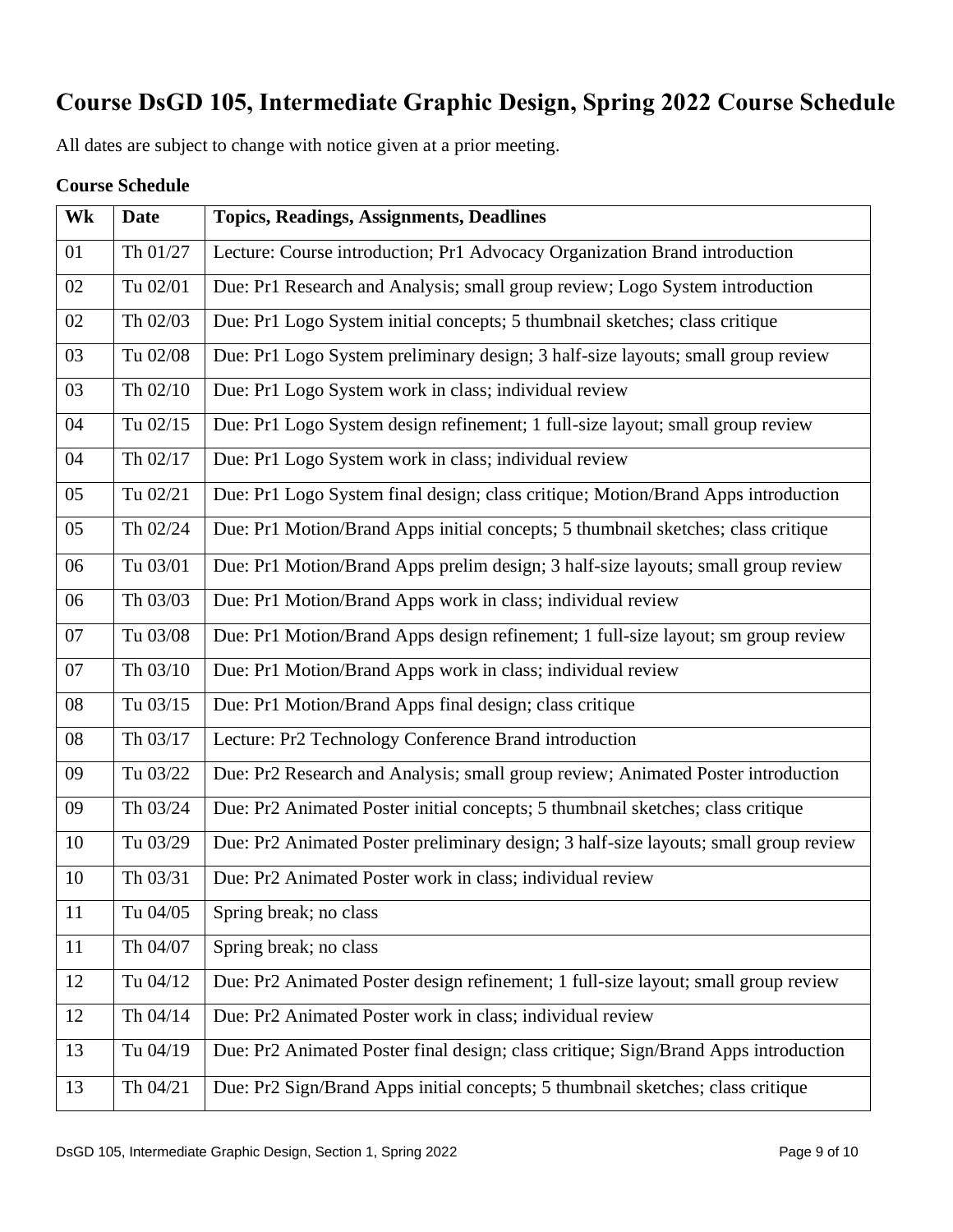# **Course DsGD 105, Intermediate Graphic Design, Spring 2022 Course Schedule**

All dates are subject to change with notice given at a prior meeting.

### **Course Schedule**

| Wk | <b>Date</b> | <b>Topics, Readings, Assignments, Deadlines</b>                                      |
|----|-------------|--------------------------------------------------------------------------------------|
| 01 | Th 01/27    | Lecture: Course introduction; Pr1 Advocacy Organization Brand introduction           |
| 02 | Tu 02/01    | Due: Pr1 Research and Analysis; small group review; Logo System introduction         |
| 02 | Th 02/03    | Due: Pr1 Logo System initial concepts; 5 thumbnail sketches; class critique          |
| 03 | Tu 02/08    | Due: Pr1 Logo System preliminary design; 3 half-size layouts; small group review     |
| 03 | Th 02/10    | Due: Pr1 Logo System work in class; individual review                                |
| 04 | Tu 02/15    | Due: Pr1 Logo System design refinement; 1 full-size layout; small group review       |
| 04 | Th 02/17    | Due: Pr1 Logo System work in class; individual review                                |
| 05 | Tu 02/21    | Due: Pr1 Logo System final design; class critique; Motion/Brand Apps introduction    |
| 05 | Th 02/24    | Due: Pr1 Motion/Brand Apps initial concepts; 5 thumbnail sketches; class critique    |
| 06 | Tu 03/01    | Due: Pr1 Motion/Brand Apps prelim design; 3 half-size layouts; small group review    |
| 06 | Th 03/03    | Due: Pr1 Motion/Brand Apps work in class; individual review                          |
| 07 | Tu 03/08    | Due: Pr1 Motion/Brand Apps design refinement; 1 full-size layout; sm group review    |
| 07 | Th 03/10    | Due: Pr1 Motion/Brand Apps work in class; individual review                          |
| 08 | Tu 03/15    | Due: Pr1 Motion/Brand Apps final design; class critique                              |
| 08 | Th 03/17    | Lecture: Pr2 Technology Conference Brand introduction                                |
| 09 | Tu 03/22    | Due: Pr2 Research and Analysis; small group review; Animated Poster introduction     |
| 09 | Th 03/24    | Due: Pr2 Animated Poster initial concepts; 5 thumbnail sketches; class critique      |
| 10 | Tu 03/29    | Due: Pr2 Animated Poster preliminary design; 3 half-size layouts; small group review |
| 10 | Th 03/31    | Due: Pr2 Animated Poster work in class; individual review                            |
| 11 | Tu 04/05    | Spring break; no class                                                               |
| 11 | Th 04/07    | Spring break; no class                                                               |
| 12 | Tu 04/12    | Due: Pr2 Animated Poster design refinement; 1 full-size layout; small group review   |
| 12 | Th 04/14    | Due: Pr2 Animated Poster work in class; individual review                            |
| 13 | Tu 04/19    | Due: Pr2 Animated Poster final design; class critique; Sign/Brand Apps introduction  |
| 13 | Th 04/21    | Due: Pr2 Sign/Brand Apps initial concepts; 5 thumbnail sketches; class critique      |